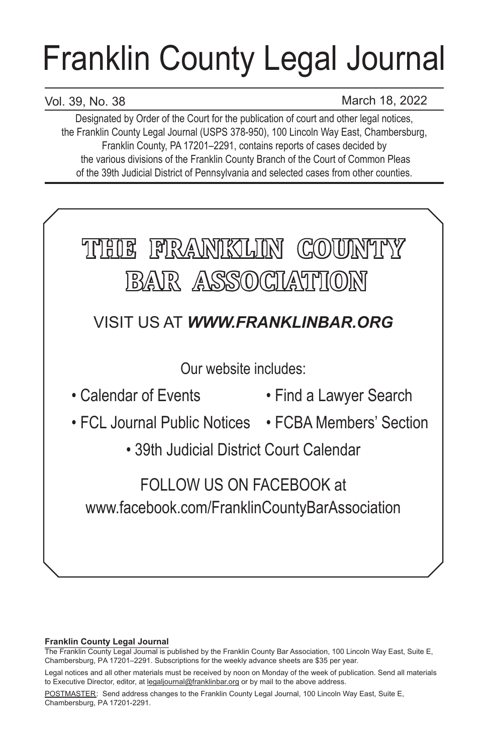# Franklin County Legal Journal

# Vol. 39, No. 38

March 18, 2022

Designated by Order of the Court for the publication of court and other legal notices, the Franklin County Legal Journal (USPS 378-950), 100 Lincoln Way East, Chambersburg, Franklin County, PA 17201–2291, contains reports of cases decided by the various divisions of the Franklin County Branch of the Court of Common Pleas of the 39th Judicial District of Pennsylvania and selected cases from other counties.



## **Franklin County Legal Journal**

The Franklin County Legal Journal is published by the Franklin County Bar Association, 100 Lincoln Way East, Suite E, Chambersburg, PA 17201–2291. Subscriptions for the weekly advance sheets are \$35 per year.

POSTMASTER: Send address changes to the Franklin County Legal Journal, 100 Lincoln Way East, Suite E, Chambersburg, PA 17201-2291.

Legal notices and all other materials must be received by noon on Monday of the week of publication. Send all materials to Executive Director, editor, at legaljournal@franklinbar.org or by mail to the above address.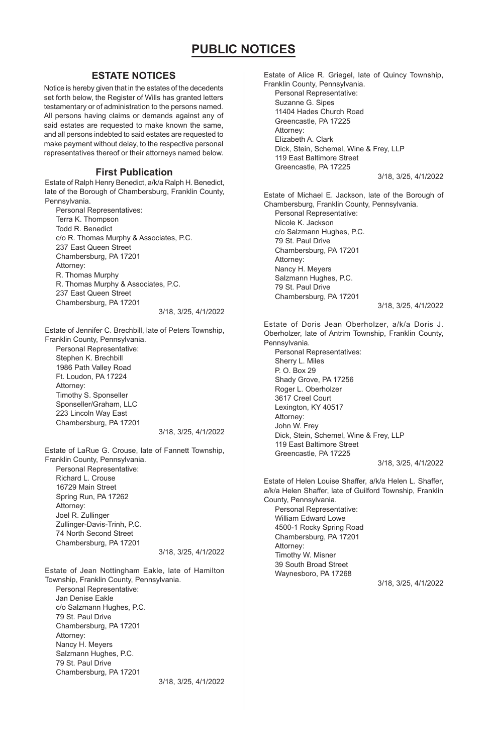## **ESTATE NOTICES**

Notice is hereby given that in the estates of the decedents set forth below, the Register of Wills has granted letters testamentary or of administration to the persons named. All persons having claims or demands against any of said estates are requested to make known the same, and all persons indebted to said estates are requested to make payment without delay, to the respective personal representatives thereof or their attorneys named below.

#### **First Publication**

Estate of Ralph Henry Benedict, a/k/a Ralph H. Benedict, late of the Borough of Chambersburg, Franklin County, Pennsylvania.

Personal Representatives: Terra K. Thompson Todd R. Benedict c/o R. Thomas Murphy & Associates, P.C. 237 East Queen Street Chambersburg, PA 17201 Attorney: R. Thomas Murphy R. Thomas Murphy & Associates, P.C. 237 East Queen Street Chambersburg, PA 17201

3/18, 3/25, 4/1/2022

Estate of Jennifer C. Brechbill, late of Peters Township, Franklin County, Pennsylvania. Personal Representative: Stephen K. Brechbill 1986 Path Valley Road Ft. Loudon, PA 17224 Attorney: Timothy S. Sponseller Sponseller/Graham, LLC 223 Lincoln Way East Chambersburg, PA 17201

3/18, 3/25, 4/1/2022

Estate of LaRue G. Crouse, late of Fannett Township, Franklin County, Pennsylvania. Personal Representative: Richard L. Crouse 16729 Main Street Spring Run, PA 17262 Attorney: Joel R. Zullinger Zullinger-Davis-Trinh, P.C. 74 North Second Street Chambersburg, PA 17201

3/18, 3/25, 4/1/2022

Estate of Jean Nottingham Eakle, late of Hamilton Township, Franklin County, Pennsylvania. Personal Representative: Jan Denise Eakle c/o Salzmann Hughes, P.C. 79 St. Paul Drive Chambersburg, PA 17201 Attorney: Nancy H. Meyers Salzmann Hughes, P.C. 79 St. Paul Drive Chambersburg, PA 17201 3/18, 3/25, 4/1/2022 Estate of Alice R. Griegel, late of Quincy Township, Franklin County, Pennsylvania. Personal Representative: Suzanne G. Sipes 11404 Hades Church Road Greencastle, PA 17225 Attorney: Elizabeth A. Clark Dick, Stein, Schemel, Wine & Frey, LLP 119 East Baltimore Street Greencastle, PA 17225 3/18, 3/25, 4/1/2022 Estate of Michael E. Jackson, late of the Borough of Chambersburg, Franklin County, Pennsylvania. Personal Representative: Nicole K. Jackson c/o Salzmann Hughes, P.C. 79 St. Paul Drive Chambersburg, PA 17201 Attorney: Nancy H. Meyers Salzmann Hughes, P.C. 79 St. Paul Drive Chambersburg, PA 17201 3/18, 3/25, 4/1/2022 Estate of Doris Jean Oberholzer, a/k/a Doris J. Oberholzer, late of Antrim Township, Franklin County, Pennsylvania. Personal Representatives: Sherry L. Miles P. O. Box 29 Shady Grove, PA 17256 Roger L. Oberholzer 3617 Creel Court Lexington, KY 40517 Attorney: John W. Frey Dick, Stein, Schemel, Wine & Frey, LLP 119 East Baltimore Street Greencastle, PA 17225 3/18, 3/25, 4/1/2022 Estate of Helen Louise Shaffer, a/k/a Helen L. Shaffer, a/k/a Helen Shaffer, late of Guilford Township, Franklin County, Pennsylvania. Personal Representative: William Edward Lowe 4500-1 Rocky Spring Road Chambersburg, PA 17201 Attorney:

Timothy W. Misner 39 South Broad Street Waynesboro, PA 17268

3/18, 3/25, 4/1/2022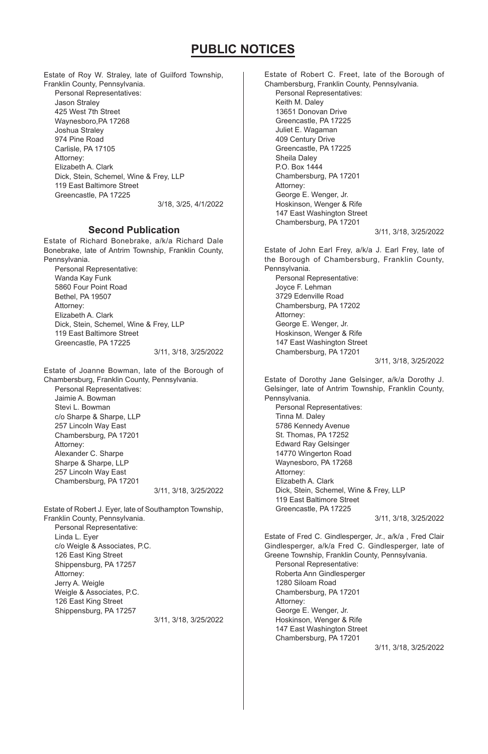Estate of Roy W. Straley, late of Guilford Township, Franklin County, Pennsylvania. Personal Representatives: Jason Straley 425 West 7th Street Waynesboro,PA 17268 Joshua Straley 974 Pine Road Carlisle, PA 17105 Attorney: Elizabeth A. Clark Dick, Stein, Schemel, Wine & Frey, LLP 119 East Baltimore Street Greencastle, PA 17225 3/18, 3/25, 4/1/2022

## **Second Publication**

Estate of Richard Bonebrake, a/k/a Richard Dale Bonebrake, late of Antrim Township, Franklin County, Pennsylvania.

Personal Representative: Wanda Kay Funk 5860 Four Point Road Bethel, PA 19507 Attorney: Elizabeth A. Clark Dick, Stein, Schemel, Wine & Frey, LLP 119 East Baltimore Street Greencastle, PA 17225

3/11, 3/18, 3/25/2022

Estate of Joanne Bowman, late of the Borough of Chambersburg, Franklin County, Pennsylvania.

Personal Representatives: Jaimie A. Bowman Stevi L. Bowman c/o Sharpe & Sharpe, LLP 257 Lincoln Way East Chambersburg, PA 17201 Attorney: Alexander C. Sharpe Sharpe & Sharpe, LLP 257 Lincoln Way East Chambersburg, PA 17201

3/11, 3/18, 3/25/2022

Estate of Robert J. Eyer, late of Southampton Township, Franklin County, Pennsylvania. Personal Representative: Linda L. Eyer c/o Weigle & Associates, P.C. 126 East King Street Shippensburg, PA 17257 Attorney: Jerry A. Weigle Weigle & Associates, P.C. 126 East King Street Shippensburg, PA 17257

3/11, 3/18, 3/25/2022

Estate of Robert C. Freet, late of the Borough of Chambersburg, Franklin County, Pennsylvania. Personal Representatives: Keith M. Daley 13651 Donovan Drive Greencastle, PA 17225 Juliet E. Wagaman 409 Century Drive Greencastle, PA 17225 Sheila Daley P.O. Box 1444 Chambersburg, PA 17201 Attorney: George E. Wenger, Jr. Hoskinson, Wenger & Rife 147 East Washington Street Chambersburg, PA 17201 3/11, 3/18, 3/25/2022

Estate of John Earl Frey, a/k/a J. Earl Frey, late of the Borough of Chambersburg, Franklin County, Pennsylvania. Personal Representative: Joyce F. Lehman 3729 Edenville Road Chambersburg, PA 17202 Attorney: George E. Wenger, Jr. Hoskinson, Wenger & Rife 147 East Washington Street Chambersburg, PA 17201

3/11, 3/18, 3/25/2022

Estate of Dorothy Jane Gelsinger, a/k/a Dorothy J. Gelsinger, late of Antrim Township, Franklin County, Pennsylvania. Personal Representatives: Tinna M. Daley 5786 Kennedy Avenue St. Thomas, PA 17252 Edward Ray Gelsinger 14770 Wingerton Road Waynesboro, PA 17268 Attorney: Elizabeth A. Clark Dick, Stein, Schemel, Wine & Frey, LLP 119 East Baltimore Street

3/11, 3/18, 3/25/2022

Estate of Fred C. Gindlesperger, Jr., a/k/a , Fred Clair Gindlesperger, a/k/a Fred C. Gindlesperger, late of Greene Township, Franklin County, Pennsylvania.

Personal Representative: Roberta Ann Gindlesperger 1280 Siloam Road Chambersburg, PA 17201 Attorney: George E. Wenger, Jr. Hoskinson, Wenger & Rife 147 East Washington Street Chambersburg, PA 17201

Greencastle, PA 17225

3/11, 3/18, 3/25/2022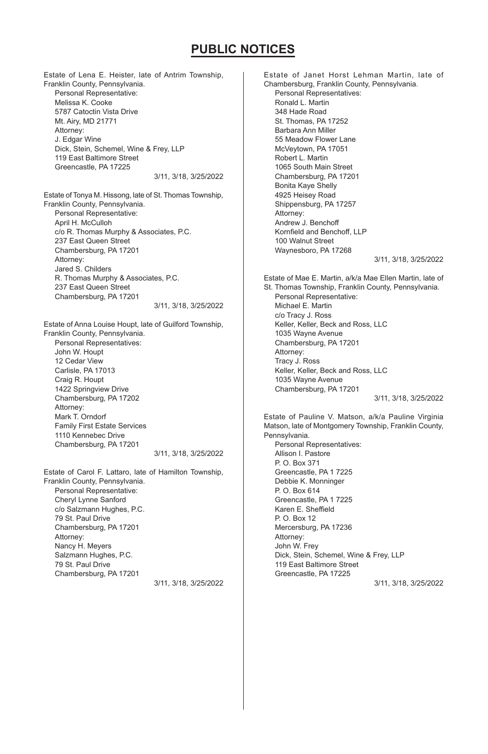Estate of Lena E. Heister, late of Antrim Township, Franklin County, Pennsylvania. Personal Representative: Melissa K. Cooke 5787 Catoctin Vista Drive Mt. Airy, MD 21771 Attorney: J. Edgar Wine Dick, Stein, Schemel, Wine & Frey, LLP 119 East Baltimore Street Greencastle, PA 17225 3/11, 3/18, 3/25/2022 Estate of Tonya M. Hissong, late of St. Thomas Township, Franklin County, Pennsylvania. Personal Representative: April H. McCulloh c/o R. Thomas Murphy & Associates, P.C. 237 East Queen Street Chambersburg, PA 17201 Attorney: Jared S. Childers R. Thomas Murphy & Associates, P.C. 237 East Queen Street Chambersburg, PA 17201 3/11, 3/18, 3/25/2022 Estate of Anna Louise Houpt, late of Guilford Township,

Franklin County, Pennsylvania. Personal Representatives: John W. Houpt 12 Cedar View Carlisle, PA 17013 Craig R. Houpt 1422 Springview Drive Chambersburg, PA 17202 Attorney: Mark T. Orndorf Family First Estate Services 1110 Kennebec Drive Chambersburg, PA 17201 3/11, 3/18, 3/25/2022

Estate of Carol F. Lattaro, late of Hamilton Township, Franklin County, Pennsylvania. Personal Representative: Cheryl Lynne Sanford c/o Salzmann Hughes, P.C. 79 St. Paul Drive Chambersburg, PA 17201 Attorney: Nancy H. Meyers Salzmann Hughes, P.C. 79 St. Paul Drive Chambersburg, PA 17201 3/11, 3/18, 3/25/2022 Estate of Janet Horst Lehman Martin, late of Chambersburg, Franklin County, Pennsylvania. Personal Representatives: Ronald L. Martin 348 Hade Road St. Thomas, PA 17252 Barbara Ann Miller 55 Meadow Flower Lane McVeytown, PA 17051 Robert L. Martin 1065 South Main Street Chambersburg, PA 17201 Bonita Kaye Shelly 4925 Heisey Road Shippensburg, PA 17257 Attorney: Andrew J. Benchoff Kornfield and Benchoff, LLP 100 Walnut Street Waynesboro, PA 17268 3/11, 3/18, 3/25/2022 Estate of Mae E. Martin, a/k/a Mae Ellen Martin, late of St. Thomas Township, Franklin County, Pennsylvania. Personal Representative: Michael E. Martin c/o Tracy J. Ross Keller, Keller, Beck and Ross, LLC 1035 Wayne Avenue Chambersburg, PA 17201 Attorney: Tracy J. Ross Keller, Keller, Beck and Ross, LLC 1035 Wayne Avenue Chambersburg, PA 17201 3/11, 3/18, 3/25/2022 Estate of Pauline V. Matson, a/k/a Pauline Virginia Matson, late of Montgomery Township, Franklin County, Pennsylvania. Personal Representatives: Allison I. Pastore P. O. Box 371 Greencastle, PA 1 7225 Debbie K. Monninger P. O. Box 614 Greencastle, PA 1 7225

Karen E. Sheffield P. O. Box 12 Mercersburg, PA 17236

Dick, Stein, Schemel, Wine & Frey, LLP 119 East Baltimore Street Greencastle, PA 17225

3/11, 3/18, 3/25/2022

Attorney: John W. Frey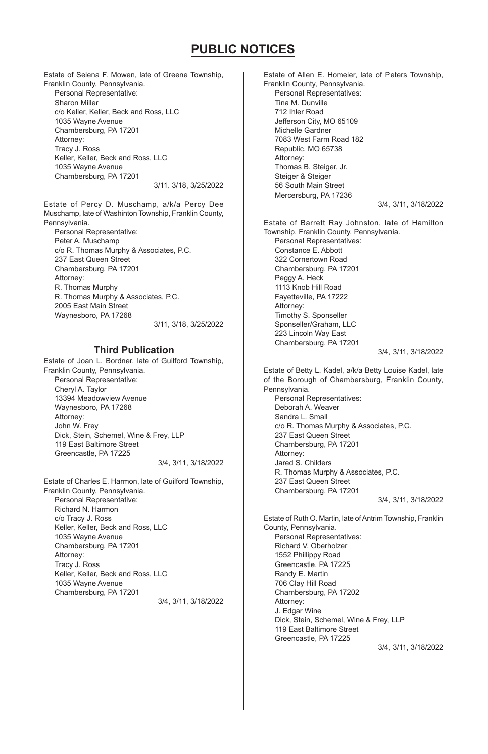Estate of Selena F. Mowen, late of Greene Township, Franklin County, Pennsylvania. Personal Representative: Sharon Miller c/o Keller, Keller, Beck and Ross, LLC 1035 Wayne Avenue Chambersburg, PA 17201 Attorney: Tracy J. Ross Keller, Keller, Beck and Ross, LLC 1035 Wayne Avenue Chambersburg, PA 17201 3/11, 3/18, 3/25/2022

Estate of Percy D. Muschamp, a/k/a Percy Dee Muschamp, late of Washinton Township, Franklin County, Pennsylvania.

Personal Representative: Peter A. Muschamp c/o R. Thomas Murphy & Associates, P.C. 237 East Queen Street Chambersburg, PA 17201 Attorney: R. Thomas Murphy R. Thomas Murphy & Associates, P.C. 2005 East Main Street Waynesboro, PA 17268 3/11, 3/18, 3/25/2022

## **Third Publication**

Estate of Joan L. Bordner, late of Guilford Township, Franklin County, Pennsylvania. Personal Representative: Cheryl A. Taylor 13394 Meadowview Avenue Waynesboro, PA 17268 Attorney: John W. Frey Dick, Stein, Schemel, Wine & Frey, LLP 119 East Baltimore Street Greencastle, PA 17225 3/4, 3/11, 3/18/2022

Estate of Charles E. Harmon, late of Guilford Township, Franklin County, Pennsylvania. Personal Representative: Richard N. Harmon c/o Tracy J. Ross Keller, Keller, Beck and Ross, LLC 1035 Wayne Avenue Chambersburg, PA 17201 Attorney: Tracy J. Ross Keller, Keller, Beck and Ross, LLC 1035 Wayne Avenue Chambersburg, PA 17201 3/4, 3/11, 3/18/2022 Estate of Allen E. Homeier, late of Peters Township, Franklin County, Pennsylvania. Personal Representatives: Tina M. Dunville 712 Ihler Road Jefferson City, MO 65109 Michelle Gardner 7083 West Farm Road 182 Republic, MO 65738 Attorney: Thomas B. Steiger, Jr. Steiger & Steiger 56 South Main Street Mercersburg, PA 17236 3/4, 3/11, 3/18/2022 Estate of Barrett Ray Johnston, late of Hamilton Township, Franklin County, Pennsylvania. Personal Representatives: Constance E. Abbott 322 Cornertown Road Chambersburg, PA 17201 Peggy A. Heck 1113 Knob Hill Road Fayetteville, PA 17222 Attorney: Timothy S. Sponseller Sponseller/Graham, LLC 223 Lincoln Way East Chambersburg, PA 17201 3/4, 3/11, 3/18/2022 Estate of Betty L. Kadel, a/k/a Betty Louise Kadel, late of the Borough of Chambersburg, Franklin County, Pennsylvania. Personal Representatives: Deborah A. Weaver Sandra L. Small c/o R. Thomas Murphy & Associates, P.C. 237 East Queen Street Chambersburg, PA 17201 Attorney: Jared S. Childers R. Thomas Murphy & Associates, P.C. 237 East Queen Street Chambersburg, PA 17201 3/4, 3/11, 3/18/2022 Estate of Ruth O. Martin, late of Antrim Township, Franklin County, Pennsylvania. Personal Representatives: Richard V. Oberholzer 1552 Phillippy Road Greencastle, PA 17225 Randy E. Martin 706 Clay Hill Road Chambersburg, PA 17202 Attorney: J. Edgar Wine Dick, Stein, Schemel, Wine & Frey, LLP 119 East Baltimore Street Greencastle, PA 17225 3/4, 3/11, 3/18/2022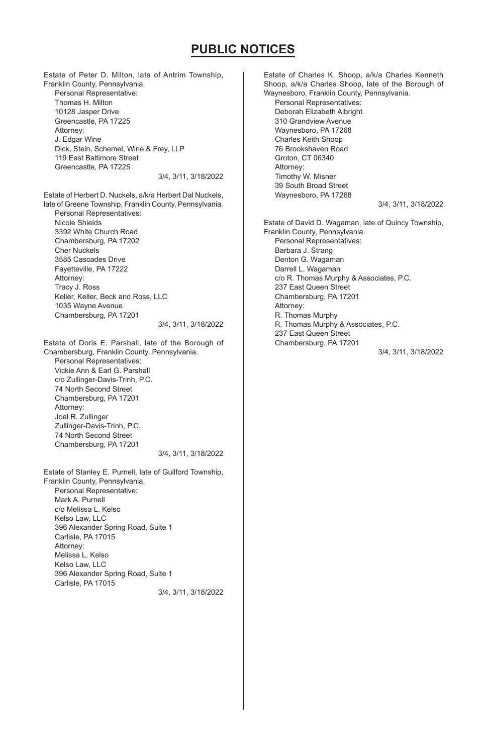Estate of Peter D. Milton, late of Antrim Township, Franklin County, Pennsylvania. Personal Representative: Thomas H. Milton 10128 Jasper Drive Greencastle, PA 17225 Attorney: J. Edgar Wine Dick, Stein, Schemel, Wine & Frey, LLP 119 East Baltimore Street Greencastle, PA 17225 3/4, 3/11, 3/18/2022 Estate of Herbert D. Nuckels, a/k/a Herbert Dal Nuckels, late of Greene Township, Franklin County, Pennsylvania.

Personal Representatives: Nicole Shields 3392 White Church Road Chambersburg, PA 17202 Cher Nuckels 3585 Cascades Drive Fayetteville, PA 17222 Attorney: Tracy J. Ross Keller, Keller, Beck and Ross, LLC 1035 Wayne Avenue Chambersburg, PA 17201 3/4, 3/11, 3/18/2022

Estate of Doris E. Parshall, late of the Borough of Chambersburg, Franklin County, Pennsylvania. Personal Representatives: Vickie Ann & Earl G. Parshall c/o Zullinger-Davis-Trinh, P.C. 74 North Second Street Chambersburg, PA 17201 Attorney: Joel R. Zullinger Zullinger-Davis-Trinh, P.C. 74 North Second Street Chambersburg, PA 17201 3/4, 3/11, 3/18/2022

Estate of Stanley E. Purnell, late of Guilford Township, Franklin County, Pennsylvania. Personal Representative: Mark A. Purnell c/o Melissa L. Kelso Kelso Law, LLC 396 Alexander Spring Road, Suite 1 Carlisle, PA 17015 Attorney: Melissa L. Kelso Kelso Law, LLC 396 Alexander Spring Road, Suite 1 Carlisle, PA 17015 3/4, 3/11, 3/18/2022 Estate of Charles K. Shoop, a/k/a Charles Kenneth Shoop, a/k/a Charles Shoop, late of the Borough of Waynesboro, Franklin County, Pennsylvania. Personal Representatives: Deborah Elizabeth Albright 310 Grandview Avenue Waynesboro, PA 17268 Charles Keith Shoop 76 Brookshaven Road Groton, CT 06340 Attorney: Timothy W. Misner 39 South Broad Street Waynesboro, PA 17268 3/4, 3/11, 3/18/2022 Estate of David D. Wagaman, late of Quincy Township, Franklin County, Pennsylvania. Personal Representatives: Barbara J. Strang Denton G. Wagaman Darrell L. Wagaman c/o R. Thomas Murphy & Associates, P.C. 237 East Queen Street Chambersburg, PA 17201 Attorney: R. Thomas Murphy R. Thomas Murphy & Associates, P.C. 237 East Queen Street Chambersburg, PA 17201 3/4, 3/11, 3/18/2022